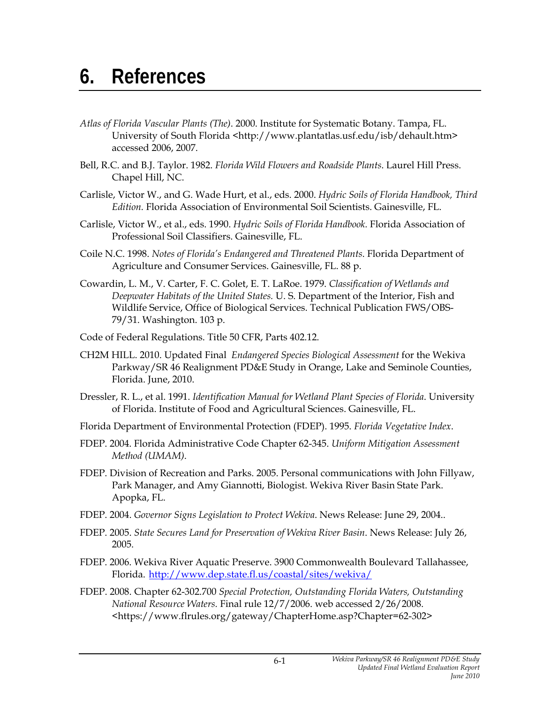## **6. References**

- *Atlas of Florida Vascular Plants (The)*. 2000. Institute for Systematic Botany. Tampa, FL. University of South Florida <http://www.plantatlas.usf.edu/isb/dehault.htm> accessed 2006, 2007.
- Bell, R.C. and B.J. Taylor. 1982. *Florida Wild Flowers and Roadside Plants*. Laurel Hill Press. Chapel Hill, NC.
- Carlisle, Victor W., and G. Wade Hurt, et al., eds. 2000. *Hydric Soils of Florida Handbook, Third Edition.* Florida Association of Environmental Soil Scientists. Gainesville, FL.
- Carlisle, Victor W., et al., eds. 1990. *Hydric Soils of Florida Handbook.* Florida Association of Professional Soil Classifiers. Gainesville, FL.
- Coile N.C. 1998. *Notes of Florida's Endangered and Threatened Plants*. Florida Department of Agriculture and Consumer Services. Gainesville, FL. 88 p.
- Cowardin, L. M., V. Carter, F. C. Golet, E. T. LaRoe. 1979. *Classification of Wetlands and Deepwater Habitats of the United States.* U. S. Department of the Interior, Fish and Wildlife Service, Office of Biological Services. Technical Publication FWS/OBS-79/31. Washington. 103 p.
- Code of Federal Regulations. Title 50 CFR, Parts 402.12.
- CH2M HILL. 2010. Updated Final *Endangered Species Biological Assessment* for the Wekiva Parkway/SR 46 Realignment PD&E Study in Orange, Lake and Seminole Counties, Florida. June, 2010.
- Dressler, R. L., et al. 1991. *Identification Manual for Wetland Plant Species of Florida*. University of Florida. Institute of Food and Agricultural Sciences. Gainesville, FL.
- Florida Department of Environmental Protection (FDEP). 1995. *Florida Vegetative Index*.
- FDEP. 2004. Florida Administrative Code Chapter 62-345. *Uniform Mitigation Assessment Method (UMAM)*.
- FDEP. Division of Recreation and Parks. 2005. Personal communications with John Fillyaw, Park Manager, and Amy Giannotti, Biologist. Wekiva River Basin State Park. Apopka, FL.
- FDEP. 2004. *Governor Signs Legislation to Protect Wekiva*. News Release: June 29, 2004..
- FDEP. 2005. *State Secures Land for Preservation of Wekiva River Basin*. News Release: July 26, 2005.
- FDEP. 2006. Wekiva River Aquatic Preserve. 3900 Commonwealth Boulevard Tallahassee, Florida. http://www.dep.state.fl.us/coastal/sites/wekiva/
- FDEP. 2008. Chapter 62-302.700 *Special Protection, Outstanding Florida Waters, Outstanding National Resource Waters.* Final rule 12/7/2006. web accessed 2/26/2008. <https://www.flrules.org/gateway/ChapterHome.asp?Chapter=62-302>